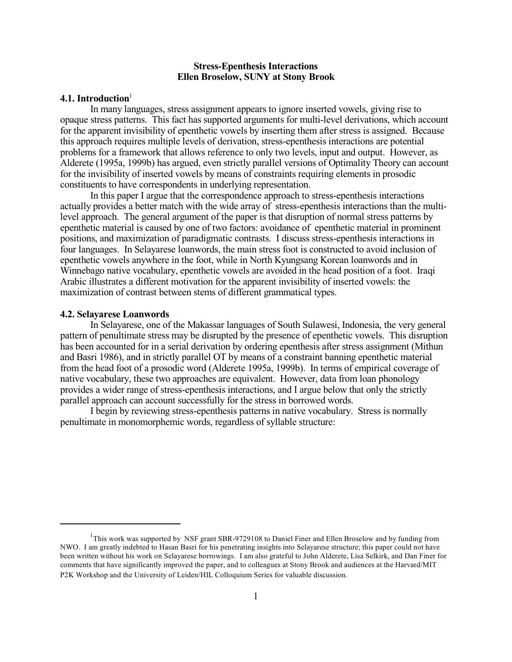# **Stress-Epenthesis Interactions Ellen Broselow, SUNY at Stony Brook**

# **4.1. Introduction** 1

In many languages, stress assignment appears to ignore inserted vowels, giving rise to opaque stress patterns. This fact has supported arguments for multi-level derivations, which account for the apparent invisibility of epenthetic vowels by inserting them after stress is assigned. Because this approach requires multiple levels of derivation, stress-epenthesis interactions are potential problems for a framework that allows reference to only two levels, input and output. However, as Alderete (1995a, 1999b) has argued, even strictly parallel versions of Optimality Theory can account for the invisibility of inserted vowels by means of constraints requiring elements in prosodic constituents to have correspondents in underlying representation.

In this paper I argue that the correspondence approach to stress-epenthesis interactions actually provides a better match with the wide array of stress-epenthesis interactions than the multilevel approach. The general argument of the paper is that disruption of normal stress patterns by epenthetic material is caused by one of two factors: avoidance of epenthetic material in prominent positions, and maximization of paradigmatic contrasts. I discuss stress-epenthesis interactions in four languages. In Selayarese loanwords, the main stress foot is constructed to avoid inclusion of epenthetic vowels anywhere in the foot, while in North Kyungsang Korean loanwords and in Winnebago native vocabulary, epenthetic vowels are avoided in the head position of a foot. Iraqi Arabic illustrates a different motivation for the apparent invisibility of inserted vowels: the maximization of contrast between stems of different grammatical types.

### **4.2. Selayarese Loanwords**

In Selayarese, one of the Makassar languages of South Sulawesi, Indonesia, the very general pattern of penultimate stress may be disrupted by the presence of epenthetic vowels. This disruption has been accounted for in a serial derivation by ordering epenthesis after stress assignment (Mithun and Basri 1986), and in strictly parallel OT by means of a constraint banning epenthetic material from the head foot of a prosodic word (Alderete 1995a, 1999b). In terms of empirical coverage of native vocabulary, these two approaches are equivalent. However, data from loan phonology provides a wider range of stress-epenthesis interactions, and I argue below that only the strictly parallel approach can account successfully for the stress in borrowed words.

I begin by reviewing stress-epenthesis patterns in native vocabulary. Stress is normally penultimate in monomorphemic words, regardless of syllable structure:

<sup>&</sup>lt;sup>1</sup>This work was supported by NSF grant SBR-9729108 to Daniel Finer and Ellen Broselow and by funding from NWO. I am greatly indebted to Hasan Basri for his penetrating insights into Selayarese structure; this paper could not have been written without his work on Selayarese borrowings. I am also grateful to John Alderete, Lisa Selkirk, and Dan Finer for comments that have significantly improved the paper, and to colleagues at Stony Brook and audiences at the Harvard/MIT P2K Workshop and the University of Leiden/HIL Colloquium Series for valuable discussion.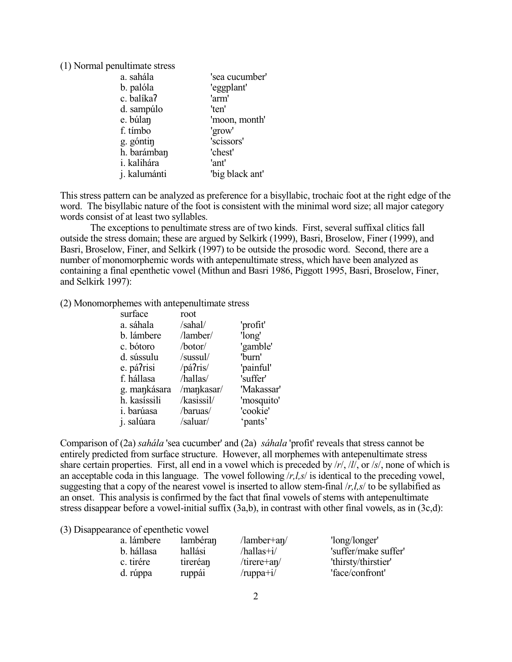(1) Normal penultimate stress

| a. sahála    | 'sea cucumber'  |
|--------------|-----------------|
| b. palóla    | 'eggplant'      |
| c. balíka?   | 'arm'           |
| d. sampúlo   | 'ten'           |
| e. búlan     | 'moon, month'   |
| f. tímbo     | 'grow'          |
| g. góntin    | 'scissors'      |
| h. barámban  | 'chest'         |
| i. kalihára  | 'ant'           |
| j. kalumánti | "big black ant" |

This stress pattern can be analyzed as preference for a bisyllabic, trochaic foot at the right edge of the word. The bisyllabic nature of the foot is consistent with the minimal word size; all major category words consist of at least two syllables.

The exceptions to penultimate stress are of two kinds. First, several suffixal clitics fall outside the stress domain; these are argued by Selkirk (1999), Basri, Broselow, Finer (1999), and Basri, Broselow, Finer, and Selkirk (1997) to be outside the prosodic word. Second, there are a number of monomorphemic words with antepenultimate stress, which have been analyzed as containing a final epenthetic vowel (Mithun and Basri 1986, Piggott 1995, Basri, Broselow, Finer, and Selkirk 1997):

(2) Monomorphemes with antepenultimate stress

| surface      | root       |            |
|--------------|------------|------------|
| a. sáhala    | /sahal/    | 'profit'   |
| b. lámbere   | /lamber/   | 'long'     |
| c. bótoro    | /botor/    | 'gamble'   |
| d. sússulu   | /sussul/   | 'burn'     |
| e. pá?risi   | /pá?ris/   | 'painful'  |
| f. hállasa   | /hallas/   | 'suffer'   |
| g. mankásara | /mankasar/ | 'Makassar' |
| h. kasíssili | /kasissil/ | 'mosquito' |
| i. barúasa   | /baruas/   | 'cookie'   |
| j. salúara   | /saluar/   | 'pants'    |
|              |            |            |

Comparison of (2a) *sahála* 'sea cucumber' and (2a) *sáhala* 'profit' reveals that stress cannot be entirely predicted from surface structure. However, all morphemes with antepenultimate stress share certain properties. First, all end in a vowel which is preceded by /*r*/, /*l*/, or /*s*/, none of which is an acceptable coda in this language. The vowel following /*r,l,s*/ is identical to the preceding vowel, suggesting that a copy of the nearest vowel is inserted to allow stem-final /*r,l,s*/ to be syllabified as an onset. This analysis is confirmed by the fact that final vowels of stems with antepenultimate stress disappear before a vowel-initial suffix (3a,b), in contrast with other final vowels, as in (3c,d):

(3) Disappearance of epenthetic vowel

| a. lámbere | lambéran | $/$ lamber+an $/$ | 'long/longer'        |
|------------|----------|-------------------|----------------------|
| b. hállasa | hallási  | /hallas+i/        | 'suffer/make suffer' |
| c. tirére  | tireréan | /tirere+an/       | 'thirsty/thirstier'  |
| d. rúppa   | ruppái   | $/ruppa+i/$       | 'face/confront'      |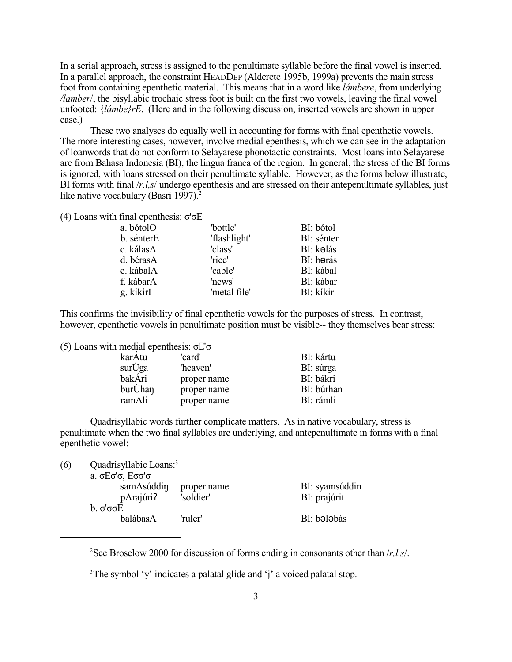In a serial approach, stress is assigned to the penultimate syllable before the final vowel is inserted. In a parallel approach, the constraint HEADDEP (Alderete 1995b, 1999a) prevents the main stress foot from containing epenthetic material. This means that in a word like *lámbere*, from underlying */lamber*/, the bisyllabic trochaic stress foot is built on the first two vowels, leaving the final vowel unfooted: {*lámbe}rE*. (Here and in the following discussion, inserted vowels are shown in upper case.)

These two analyses do equally well in accounting for forms with final epenthetic vowels. The more interesting cases, however, involve medial epenthesis, which we can see in the adaptation of loanwords that do not conform to Selayarese phonotactic constraints. Most loans into Selayarese are from Bahasa Indonesia (BI), the lingua franca of the region. In general, the stress of the BI forms is ignored, with loans stressed on their penultimate syllable. However, as the forms below illustrate, BI forms with final /*r,l,s*/ undergo epenthesis and are stressed on their antepenultimate syllables, just like native vocabulary (Basri 1997).<sup>2</sup>

(4) Loans with final epenthesis:  $\sigma' \sigma E$ 

| a. bótolO  | 'bottle'     | BI: bótol          |
|------------|--------------|--------------------|
| b. sénterE | 'flashlight' | BI: sénter         |
| c. kálasA  | 'class'      | BI: k <b>ə</b> lás |
| d. bérasA  | 'rice'       | BI: bərás          |
| e. kábalA  | 'cable'      | BI: kábal          |
| f. kábarA  | 'news'       | BI: kábar          |
| g. kíkirI  | 'metal file' | BI: kíkir          |
|            |              |                    |

This confirms the invisibility of final epenthetic vowels for the purposes of stress. In contrast, however, epenthetic vowels in penultimate position must be visible-- they themselves bear stress:

(5) Loans with medial epenthesis:  $\sigma$ E' $\sigma$ 

|             | BI: kártu  |
|-------------|------------|
| 'heaven'    | BI: súrga  |
| proper name | BI: bákri  |
| proper name | BI: búrhan |
| proper name | BI: rámli  |
|             | 'card'     |

Quadrisyllabic words further complicate matters. As in native vocabulary, stress is penultimate when the two final syllables are underlying, and antepenultimate in forms with a final epenthetic vowel:

| (6) | Quadrisyllabic Loans: <sup>3</sup>    |                          |                                |
|-----|---------------------------------------|--------------------------|--------------------------------|
|     | a. σ $E\sigma'$ σ, $E\sigma\sigma'$ σ |                          |                                |
|     | samAsúddin<br>pArajúri?               | proper name<br>'soldier' | BI: syamsúddin<br>BI: prajúrit |
|     | $b. \sigma \sigma E$                  |                          |                                |
|     | balábasA                              | 'ruler'                  | BI: bələbás                    |

<sup>2</sup>See Broselow 2000 for discussion of forms ending in consonants other than  $/r, l, s$ .

<sup>3</sup>The symbol 'y' indicates a palatal glide and 'j' a voiced palatal stop.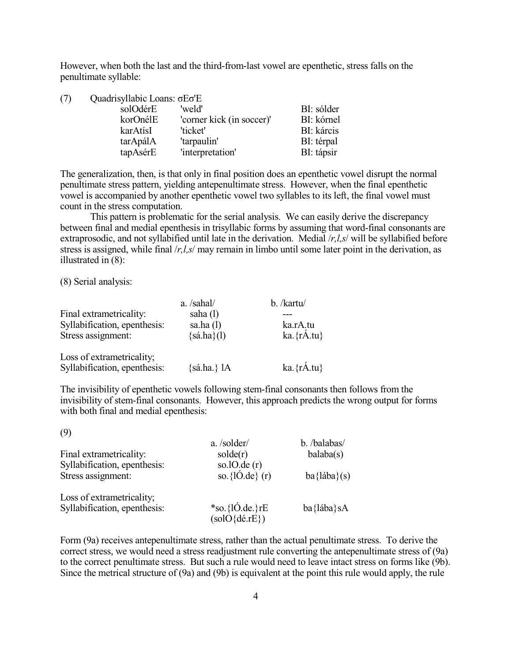However, when both the last and the third-from-last vowel are epenthetic, stress falls on the penultimate syllable:

|  | (7) | Quadrisyllabic Loans: $\sigma$ E $\sigma$ <sup>'</sup> E |  |
|--|-----|----------------------------------------------------------|--|
|--|-----|----------------------------------------------------------|--|

| solOdérE | 'weld'                    | BI: sólder |
|----------|---------------------------|------------|
| korOnélE | 'corner kick (in soccer)' | BI: kórnel |
| karAtísI | 'ticket'                  | BI: kárcis |
| tarApálA | 'tarpaulin'               | BI: térpal |
| tapAsérE | 'interpretation'          | BI: tápsir |

The generalization, then, is that only in final position does an epenthetic vowel disrupt the normal penultimate stress pattern, yielding antepenultimate stress. However, when the final epenthetic vowel is accompanied by another epenthetic vowel two syllables to its left, the final vowel must count in the stress computation.

This pattern is problematic for the serial analysis. We can easily derive the discrepancy between final and medial epenthesis in trisyllabic forms by assuming that word-final consonants are extraprosodic, and not syllabified until late in the derivation. Medial /*r,l,s*/ will be syllabified before stress is assigned, while final /*r,l,s*/ may remain in limbo until some later point in the derivation, as illustrated in (8):

(8) Serial analysis:

(9)

|                              | a. /sahal/               | b. /kartu/                      |
|------------------------------|--------------------------|---------------------------------|
| Final extrametricality:      | saha(1)                  |                                 |
| Syllabification, epenthesis: | sa.ha $(l)$              | ka.rA.tu                        |
| Stress assignment:           | $\{\sinh(\theta)\}\$     | ka. $\{r\text{\AA}.\text{tu}\}$ |
| Loss of extrametricality;    |                          |                                 |
| Syllabification, epenthesis: | $\{\text{sá.ha.}\}\;$ lA | ka. $\{r\text{\AA}.tu\}$        |

The invisibility of epenthetic vowels following stem-final consonants then follows from the invisibility of stem-final consonants. However, this approach predicts the wrong output for forms with both final and medial epenthesis:

| $\sqrt{ }$<br>Final extrametricality:<br>Syllabification, epenthesis: | a./solder/<br>$\text{solde}(r)$<br>so.lO.de $(r)$ | b. /balabas/<br>balaba(s) |
|-----------------------------------------------------------------------|---------------------------------------------------|---------------------------|
| Stress assignment:                                                    | so. $\{10.de\}$ (r)                               | $ba \{ \}$ (s)            |
| Loss of extrametricality;<br>Syllabification, epenthesis:             | *so. { $10.de.$ }rE<br>$(solO\{d\acute{e}.rE\})$  | $ba$ {lába}s $A$          |

Form (9a) receives antepenultimate stress, rather than the actual penultimate stress. To derive the correct stress, we would need a stress readjustment rule converting the antepenultimate stress of (9a) to the correct penultimate stress. But such a rule would need to leave intact stress on forms like (9b). Since the metrical structure of (9a) and (9b) is equivalent at the point this rule would apply, the rule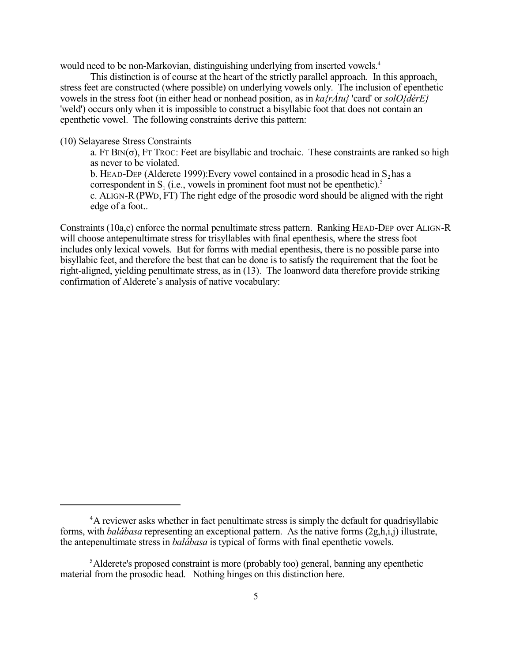would need to be non-Markovian, distinguishing underlying from inserted vowels. 4

This distinction is of course at the heart of the strictly parallel approach. In this approach, stress feet are constructed (where possible) on underlying vowels only. The inclusion of epenthetic vowels in the stress foot (in either head or nonhead position, as in *ka{rÁtu}* 'card' or *solO{dérE}* 'weld') occurs only when it is impossible to construct a bisyllabic foot that does not contain an epenthetic vowel. The following constraints derive this pattern:

### (10) Selayarese Stress Constraints

a. FT  $\text{Bin}(\sigma)$ , FT TROC: Feet are bisyllabic and trochaic. These constraints are ranked so high as never to be violated. b. HEAD-DEP (Alderete 1999): Every vowel contained in a prosodic head in  $S_2$  has a correspondent in  $S_1$  (i.e., vowels in prominent foot must not be epenthetic).<sup>5</sup> c. ALIGN-R(PWD, FT) The right edge of the prosodic word should be aligned with the right edge of a foot..

Constraints (10a,c) enforce the normal penultimate stress pattern. Ranking HEAD-DEP over ALIGN-R will choose antepenultimate stress for trisyllables with final epenthesis, where the stress foot includes only lexical vowels. But for forms with medial epenthesis, there is no possible parse into bisyllabic feet, and therefore the best that can be done is to satisfy the requirement that the foot be right-aligned, yielding penultimate stress, as in (13). The loanword data therefore provide striking confirmation of Alderete's analysis of native vocabulary:

<sup>&</sup>lt;sup>4</sup>A reviewer asks whether in fact penultimate stress is simply the default for quadrisyllabic forms, with *balábasa* representing an exceptional pattern. As the native forms (2g,h,i,j) illustrate, the antepenultimate stress in *balábasa* is typical of forms with final epenthetic vowels.

<sup>&</sup>lt;sup>5</sup> Alderete's proposed constraint is more (probably too) general, banning any epenthetic material from the prosodic head. Nothing hinges on this distinction here.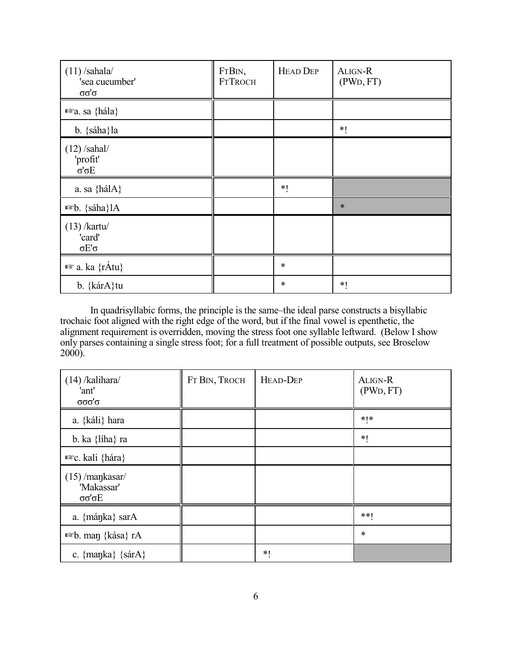| $(11)$ /sahala/<br>'sea cucumber'<br>$\alpha$    | FTBIN,<br><b>FTTROCH</b> | <b>HEAD DEP</b> | ALIGN-R<br>(PWD, FT) |
|--------------------------------------------------|--------------------------|-----------------|----------------------|
| <sub>¤</sub> a. sa {hála}                        |                          |                 |                      |
| b. {sáha}la                                      |                          |                 | $\ast$ !             |
| $(12)$ /sahal/<br>'profit'<br>$\sigma' \sigma E$ |                          |                 |                      |
| a. sa $\{háIA\}$                                 |                          | $*!$            |                      |
| $\mathbb{F}$ b. {sáha}lA                         |                          |                 | $\ast$               |
| $(13)$ /kartu/<br>'card'<br>$\sigma E' \sigma$   |                          |                 |                      |
| $\mathbb{R}$ a. ka {rÁtu}                        |                          | $\ast$          |                      |
| b. {kárA}tu                                      |                          | $\ast$          | $*1$                 |

In quadrisyllabic forms, the principle is the same–the ideal parse constructs a bisyllabic trochaic foot aligned with the right edge of the word, but if the final vowel is epenthetic, the alignment requirement is overridden, moving the stress foot one syllable leftward. (Below I show only parses containing a single stress foot; for a full treatment of possible outputs, see Broselow 2000).

| $(14)$ /kalihara/<br>'ant'<br>$\alpha$ α $\alpha$ , $\alpha$ | FT BIN, TROCH | HEAD-DEP | ALIGN-R<br>(PWD, FT) |
|--------------------------------------------------------------|---------------|----------|----------------------|
| a. {káli} hara                                               |               |          | $*!*$                |
| b. ka $\{l$ iha $\}$ ra                                      |               |          | *!                   |
| ¤®c. kali {hára}                                             |               |          |                      |
| $(15)$ /mankasar/<br>'Makassar'<br>$\sigma\sigma' \sigma E$  |               |          |                      |
| a. {mánka} sarA                                              |               |          | $***$                |
| <b>B</b> b. man {kása} rA                                    |               |          | $\ast$               |
| c. {manka} {sárA}                                            |               | $*1$     |                      |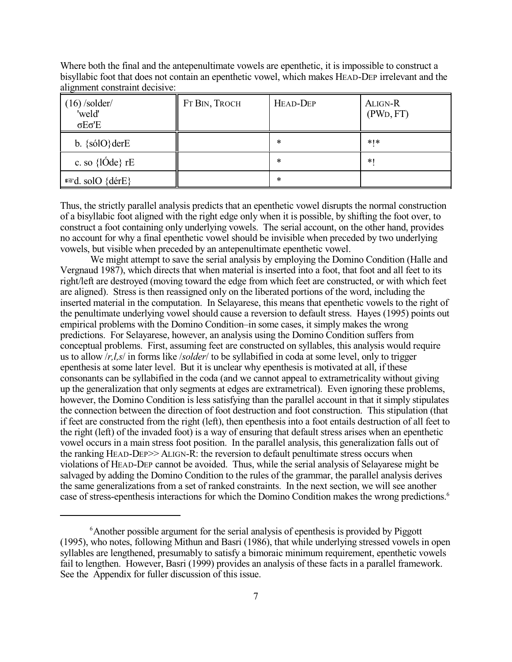Where both the final and the antepenultimate vowels are epenthetic, it is impossible to construct a bisyllabic foot that does not contain an epenthetic vowel, which makes HEAD-DEP irrelevant and the alignment constraint decisive:

| $(16)$ /solder/<br>'weld'<br>$\sigma E \sigma' E$ | FT BIN, TROCH | HEAD-DEP | ALIGN-R<br>(PWD, FT) |
|---------------------------------------------------|---------------|----------|----------------------|
| b. $\{\text{solO}\}\text{der}E$                   |               | $\ast$   | $*$   $*$            |
| c. so $\{10de\}$ rE                               |               | *        | $*1$                 |
| $■$ solO {dérE}                                   |               | ∗        |                      |

Thus, the strictly parallel analysis predicts that an epenthetic vowel disrupts the normal construction of a bisyllabic foot aligned with the right edge only when it is possible, by shifting the foot over, to construct a foot containing only underlying vowels. The serial account, on the other hand, provides no account for why a final epenthetic vowel should be invisible when preceded by two underlying vowels, but visible when preceded by an antepenultimate epenthetic vowel.

We might attempt to save the serial analysis by employing the Domino Condition (Halle and Vergnaud 1987), which directs that when material is inserted into a foot, that foot and all feet to its right/left are destroyed (moving toward the edge from which feet are constructed, or with which feet are aligned). Stress is then reassigned only on the liberated portions of the word, including the inserted material in the computation. In Selayarese, this means that epenthetic vowels to the right of the penultimate underlying vowel should cause a reversion to default stress. Hayes (1995) points out empirical problems with the Domino Condition–in some cases, it simply makes the wrong predictions. For Selayarese, however, an analysis using the Domino Condition suffers from conceptual problems. First, assuming feet are constructed on syllables, this analysis would require us to allow /*r,l,s*/ in forms like /*solder*/ to be syllabified in coda at some level, only to trigger epenthesis at some later level. But it is unclear why epenthesis is motivated at all, if these consonants can be syllabified in the coda (and we cannot appeal to extrametricality without giving up the generalization that only segments at edges are extrametrical). Even ignoring these problems, however, the Domino Condition is less satisfying than the parallel account in that it simply stipulates the connection between the direction of foot destruction and foot construction. This stipulation (that if feet are constructed from the right (left), then epenthesis into a foot entails destruction of all feet to the right (left) of the invaded foot) is a way of ensuring that default stress arises when an epenthetic vowel occurs in a main stress foot position. In the parallel analysis, this generalization falls out of the ranking HEAD-DEP>> ALIGN-R: the reversion to default penultimate stress occurs when violations of HEAD-DEP cannot be avoided. Thus, while the serial analysis of Selayarese might be salvaged by adding the Domino Condition to the rules of the grammar, the parallel analysis derives the same generalizations from a set of ranked constraints. In the next section, we will see another case of stress-epenthesis interactions for which the Domino Condition makes the wrong predictions. 6

<sup>&</sup>lt;sup>6</sup> Another possible argument for the serial analysis of epenthesis is provided by Piggott (1995), who notes, following Mithun and Basri (1986), that while underlying stressed vowels in open syllables are lengthened, presumably to satisfy a bimoraic minimum requirement, epenthetic vowels fail to lengthen. However, Basri (1999) provides an analysis of these facts in a parallel framework. See the Appendix for fuller discussion of this issue.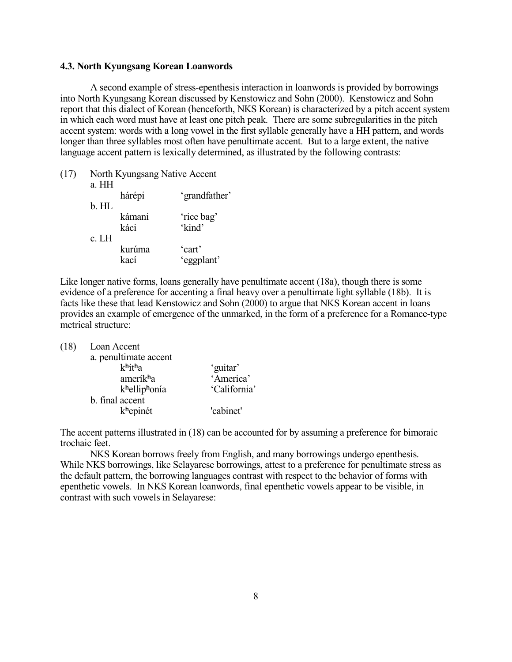# **4.3. North Kyungsang Korean Loanwords**

A second example of stress-epenthesis interaction in loanwords is provided by borrowings into North Kyungsang Korean discussed by Kenstowicz and Sohn (2000). Kenstowicz and Sohn report that this dialect of Korean (henceforth, NKS Korean) is characterized by a pitch accent system in which each word must have at least one pitch peak. There are some subregularities in the pitch accent system: words with a long vowel in the first syllable generally have a HH pattern, and words longer than three syllables most often have penultimate accent. But to a large extent, the native language accent pattern is lexically determined, as illustrated by the following contrasts:

(17) North Kyungsang Native Accent

| 'grandfather' |
|---------------|
|               |
|               |
|               |
|               |
|               |
|               |
|               |

Like longer native forms, loans generally have penultimate accent (18a), though there is some evidence of a preference for accenting a final heavy over a penultimate light syllable (18b). It is facts like these that lead Kenstowicz and Sohn (2000) to argue that NKS Korean accent in loans provides an example of emergence of the unmarked, in the form of a preference for a Romance-type metrical structure:

| (18) | Loan Accent           |              |
|------|-----------------------|--------------|
|      | a. penultimate accent |              |
|      | khitha                | 'guitar'     |
|      | ameríkha              | 'America'    |
|      | khelliphonía          | 'California' |
|      | b. final accent       |              |
|      | khepinét              | 'cabinet'    |
|      |                       |              |

The accent patterns illustrated in (18) can be accounted for by assuming a preference for bimoraic trochaic feet.

NKS Korean borrows freely from English, and many borrowings undergo epenthesis. While NKS borrowings, like Selayarese borrowings, attest to a preference for penultimate stress as the default pattern, the borrowing languages contrast with respect to the behavior of forms with epenthetic vowels. In NKS Korean loanwords, final epenthetic vowels appear to be visible, in contrast with such vowels in Selayarese: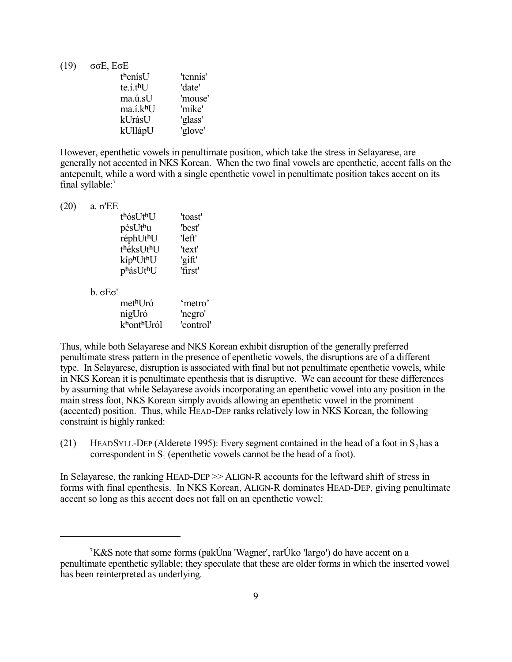(19)  $\sigma \sigma E$ ,  $E \sigma E$ 

| thenisU               | 'tennis' |
|-----------------------|----------|
| $te.i.t^hU$           | 'date'   |
| ma.ú.sU               | 'mouse'  |
| ma.í.k <sup>h</sup> U | 'mike'   |
| kUrásU                | 'glass'  |
| kUllápU               | 'glove'  |

However, epenthetic vowels in penultimate position, which take the stress in Selayarese, are generally not accented in NKS Korean. When the two final vowels are epenthetic, accent falls on the antepenult, while a word with a single epenthetic vowel in penultimate position takes accent on its final syllable: 7

| (20) | a. $σ'EE$                          |         |
|------|------------------------------------|---------|
|      | thósUthU                           | 'toast' |
|      | pésUthu                            | 'best'  |
|      | réphUthU                           | 'left'  |
|      | théksUthU                          | 'text'  |
|      | kíp <sup>h</sup> Ut <sup>h</sup> U | 'gift'  |
|      | phásUthU                           | 'first' |
|      | $b. \sigma E \sigma'$              |         |
|      | methUró                            | 'metro' |

nigUró 'negro' k<sup>h</sup>ont<sup>h</sup>Uról 'control'

Thus, while both Selayarese and NKS Korean exhibit disruption of the generally preferred penultimate stress pattern in the presence of epenthetic vowels, the disruptions are of a different type. In Selayarese, disruption is associated with final but not penultimate epenthetic vowels, while in NKS Korean it is penultimate epenthesis that is disruptive. We can account for these differences by assuming that while Selayarese avoids incorporating an epenthetic vowel into any position in the main stress foot, NKS Korean simply avoids allowing an epenthetic vowel in the prominent (accented) position. Thus, while HEAD-DEP ranks relatively low in NKS Korean, the following constraint is highly ranked:

(21) HEADSYLL-DEP (Alderete 1995): Every segment contained in the head of a foot in  $S_2$  has a correspondent in  $S_1$  (epenthetic vowels cannot be the head of a foot).

In Selayarese, the ranking HEAD-DEP >> ALIGN-R accounts for the leftward shift of stress in forms with final epenthesis. In NKS Korean, ALIGN-R dominates HEAD-DEP, giving penultimate accent so long as this accent does not fall on an epenthetic vowel:

 $^7$ K&S note that some forms (pakÚna 'Wagner', rarÚko 'largo') do have accent on a penultimate epenthetic syllable; they speculate that these are older forms in which the inserted vowel has been reinterpreted as underlying.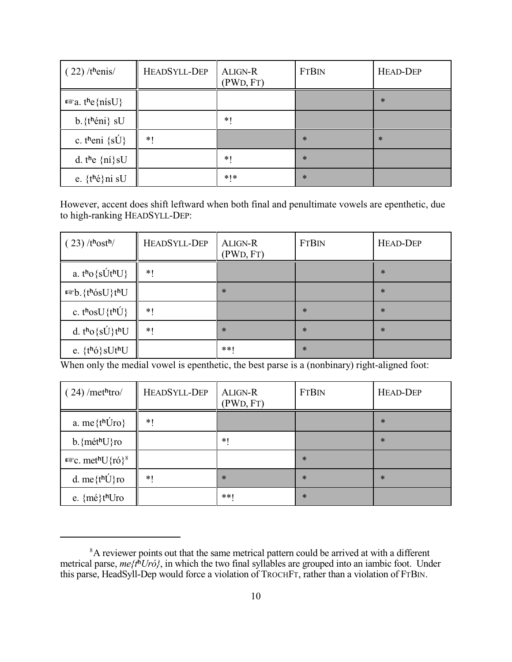| $(22)$ /thenis/              | HEADSYLL-DEP | ALIGN-R<br>(PWD, FT) | <b>FTBIN</b> | <b>HEAD-DEP</b> |
|------------------------------|--------------|----------------------|--------------|-----------------|
| $\mathbb{R}$ a. the {nisU}   |              |                      |              | $\ast$          |
| $b.$ {t <sup>h</sup> éni} sU |              | $*$ (                |              |                 |
| c. then ${sU}$               | $*$ (        |                      | $\ast$       | $\ast$          |
| d. the $\{ni\}sU$            |              | $*$ (                | $\ast$       |                 |
| e. $\{t^h \acute{e}\}$ ni sU |              | $*$ ! $*$            | $\ast$       |                 |

However, accent does shift leftward when both final and penultimate vowels are epenthetic, due to high-ranking HEADSYLL-DEP:

| $(23) / t^{h}$ ost <sup>h</sup> /                     | HEADSYLL-DEP | ALIGN-R<br>(PWD, FT) | <b>FTBIN</b> | <b>HEAD-DEP</b> |
|-------------------------------------------------------|--------------|----------------------|--------------|-----------------|
| a. $t^h o \{s \dot{U} t^h U\}$                        | $*1$         |                      |              | $\ast$          |
| <sup>13</sup> b. {thósU}thU                           |              | $\ast$               |              | $\ast$          |
| c. thos $U\{t^h\dot{U}\}$                             | *!           |                      | $\ast$       | $\ast$          |
| d. $t^{\text{h}}$ o $\{s\acute{U}\}$ t <sup>h</sup> U | $*1$         | $\ast$               | $\ast$       | $\ast$          |
| e. $\{t^h\acute{o}\}$ s $Ut^hU$                       |              | $***$                | $\ast$       |                 |

When only the medial vowel is epenthetic, the best parse is a (nonbinary) right-aligned foot:

| $(24)$ /methtro/                                  | HEADSYLL-DEP | <b>ALIGN-R</b><br>(PWD, FT) | <b>FTBIN</b> | <b>HEAD-DEP</b> |
|---------------------------------------------------|--------------|-----------------------------|--------------|-----------------|
| a. me $\{t^h$ Úro}                                | $*1$         |                             |              | $\ast$          |
| $b.$ {mét <sup>h</sup> U}ro                       |              | $*1$                        |              | $\ast$          |
| $I\otimes_{\mathbb{C}}$ . meth $U\{\text{ró}\}^8$ |              |                             | $\ast$       |                 |
| d. me $\{t^h \dot{U}\}$ ro                        | *1           | $\ast$                      | $\ast$       | $\ast$          |
| e. ${m\acute{e}}$ <sub>th</sub> Uro               |              | **!                         | $\ast$       |                 |

<sup>&</sup>lt;sup>8</sup>A reviewer points out that the same metrical pattern could be arrived at with a different metrical parse,  $me\{t^hUr\delta\}$ , in which the two final syllables are grouped into an iambic foot. Under this parse, HeadSyll-Dep would force a violation of TROCHFT, rather than a violation of FTBIN.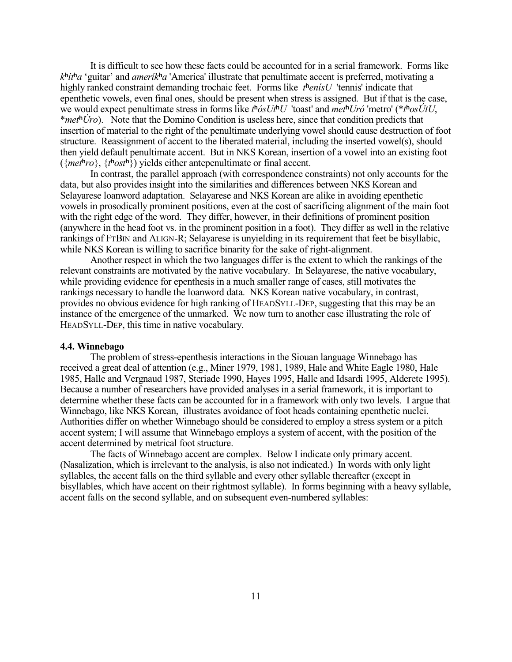It is difficult to see how these facts could be accounted for in a serial framework. Forms like  $k<sup>h</sup>$ *it*<sup>h</sup> $a$  'guitar' and *amerik*<sup>h</sup> $a$ </sup> 'America' illustrate that penultimate accent is preferred, motivating a highly ranked constraint demanding trochaic feet. Forms like *thenisU* 'tennis' indicate that epenthetic vowels, even final ones, should be present when stress is assigned. But if that is the case, we would expect penultimate stress in forms like  $t^h$ *ósUt*<sup> $h$ </sup>*U* 'toast' and *met*<sup> $h$ </sup>*Uró* 'metro' (\* $t^h$ *osÚtU*, \**met<sup>h</sup>Úro*). Note that the Domino Condition is useless here, since that condition predicts that insertion of material to the right of the penultimate underlying vowel should cause destruction of foot structure. Reassignment of accent to the liberated material, including the inserted vowel(s), should then yield default penultimate accent. But in NKS Korean, insertion of a vowel into an existing foot  $({\{met^{\mathsf{h}}ro\}}, {\{t^{\mathsf{h}}os^{t\mathsf{h}}\}})$  yields either antepenultimate or final accent.

In contrast, the parallel approach (with correspondence constraints) not only accounts for the data, but also provides insight into the similarities and differences between NKS Korean and Selayarese loanword adaptation. Selayarese and NKS Korean are alike in avoiding epenthetic vowels in prosodically prominent positions, even at the cost of sacrificing alignment of the main foot with the right edge of the word. They differ, however, in their definitions of prominent position (anywhere in the head foot vs. in the prominent position in a foot). They differ as well in the relative rankings of FTBIN and ALIGN-R; Selayarese is unyielding in its requirement that feet be bisyllabic, while NKS Korean is willing to sacrifice binarity for the sake of right-alignment.

Another respect in which the two languages differ is the extent to which the rankings of the relevant constraints are motivated by the native vocabulary. In Selayarese, the native vocabulary, while providing evidence for epenthesis in a much smaller range of cases, still motivates the rankings necessary to handle the loanword data. NKS Korean native vocabulary, in contrast, provides no obvious evidence for high ranking of HEADSYLL-DEP, suggesting that this may be an instance of the emergence of the unmarked. We now turn to another case illustrating the role of HEADSYLL-DEP, this time in native vocabulary.

### **4.4. Winnebago**

The problem of stress-epenthesis interactions in the Siouan language Winnebago has received a great deal of attention (e.g., Miner 1979, 1981, 1989, Hale and White Eagle 1980, Hale 1985, Halle and Vergnaud 1987, Steriade 1990, Hayes 1995, Halle and Idsardi 1995, Alderete 1995). Because a number of researchers have provided analyses in a serial framework, it is important to determine whether these facts can be accounted for in a framework with only two levels. I argue that Winnebago, like NKS Korean, illustrates avoidance of foot heads containing epenthetic nuclei. Authorities differ on whether Winnebago should be considered to employ a stress system or a pitch accent system; I will assume that Winnebago employs a system of accent, with the position of the accent determined by metrical foot structure.

The facts of Winnebago accent are complex. Below I indicate only primary accent. (Nasalization, which is irrelevant to the analysis, is also not indicated.) In words with only light syllables, the accent falls on the third syllable and every other syllable thereafter (except in bisyllables, which have accent on their rightmost syllable). In forms beginning with a heavy syllable, accent falls on the second syllable, and on subsequent even-numbered syllables: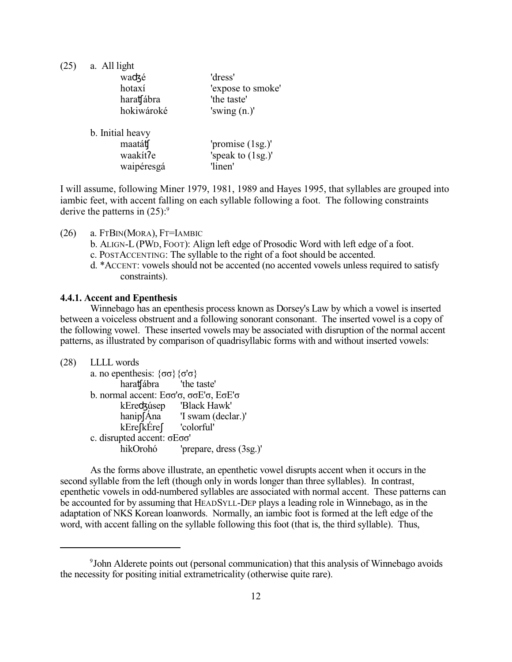| a. All light     |                     |
|------------------|---------------------|
| wadzé            | 'dress'             |
| hotaxí           | 'expose to smoke'   |
| haratfábra       | 'the taste'         |
| hokiwároké       | 'swing $(n.)'$      |
| b. Initial heavy |                     |
| maatát           | 'promise $(1sg.)'$  |
| waakit?e         | 'speak to $(1sg.)'$ |
| waipéresgá       | 'linen'             |

I will assume, following Miner 1979, 1981, 1989 and Hayes 1995, that syllables are grouped into iambic feet, with accent falling on each syllable following a foot. The following constraints derive the patterns in  $(25)$ :<sup>9</sup>

- (26) a. FTBIN(MORA), FT=IAMBIC
	- b. ALIGN-L(PWD, FOOT): Align left edge of Prosodic Word with left edge of a foot.
	- c. POSTACCENTING: The syllable to the right of a foot should be accented.
	- d. \*ACCENT: vowels should not be accented (no accented vowels unless required to satisfy constraints).

### **4.4.1. Accent and Epenthesis**

Winnebago has an epenthesis process known as Dorsey's Law by which a vowel is inserted between a voiceless obstruent and a following sonorant consonant. The inserted vowel is a copy of the following vowel. These inserted vowels may be associated with disruption of the normal accent patterns, as illustrated by comparison of quadrisyllabic forms with and without inserted vowels:

```
(28) LLLL words
        a. no epenthesis: \{\sigma\sigma\} \{\sigma'\sigma\}harat fábra l'the taste'
        b. normal accent: Eóó'ó, óóE'ó, EóE'ó
                 kEredzúsep 'Black Hawk'
                 hanip<br>
hanip<br>
kere<br>
[kere] \frac{1}{2} 'colorful'
                 kEre[kEre]c. disrupted accent: σΕσσ'
                 hikOrohó 'prepare, dress (3sg.)'
```
As the forms above illustrate, an epenthetic vowel disrupts accent when it occurs in the second syllable from the left (though only in words longer than three syllables). In contrast, epenthetic vowels in odd-numbered syllables are associated with normal accent. These patterns can be accounted for by assuming that HEADSYLL-DEP plays a leading role in Winnebago, as in the adaptation of NKS Korean loanwords. Normally, an iambic foot is formed at the left edge of the word, with accent falling on the syllable following this foot (that is, the third syllable). Thus,

<sup>&</sup>lt;sup>9</sup>John Alderete points out (personal communication) that this analysis of Winnebago avoids the necessity for positing initial extrametricality (otherwise quite rare).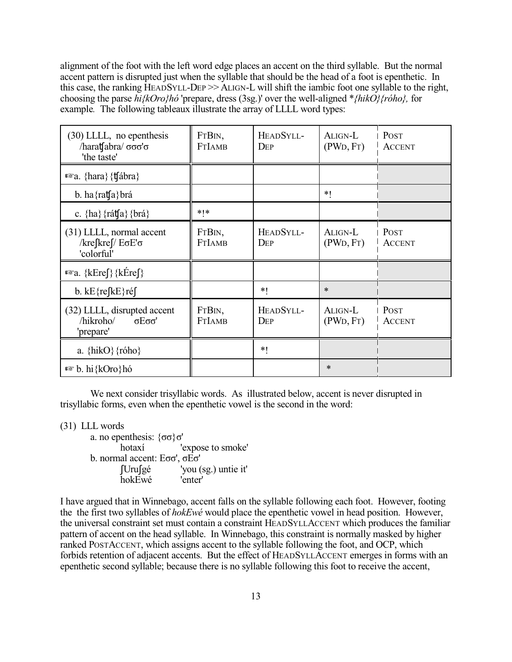alignment of the foot with the left word edge places an accent on the third syllable. But the normal accent pattern is disrupted just when the syllable that should be the head of a foot is epenthetic. In this case, the ranking HEADSYLL-DEP >> ALIGN-L will shift the iambic foot one syllable to the right, choosing the parse *hi{kOro}hó* 'prepare, dress (3sg.)' over the well-aligned \**{hikO}{róho},* for example*.* The following tableaux illustrate the array of LLLL word types:

| $(30)$ LLLL, no epenthesis<br>/haratfabra/ σσσ'σ<br>'the taste'              | FTBIN,<br><b>FTIAMB</b> | HEADSYLL-<br>DEP        | ALIGN-L<br>(PWD, FT) | POST<br><b>ACCENT</b> |
|------------------------------------------------------------------------------|-------------------------|-------------------------|----------------------|-----------------------|
| $\mathbb{F}_a$ . {hara} { <b>t</b> [ábra}                                    |                         |                         |                      |                       |
| b. ha $\{ratfa\}$ brá                                                        |                         |                         | $*1$                 |                       |
| c. $\{ha\} \{rátfa\} \{bra\}$                                                | $*$   $*$               |                         |                      |                       |
| (31) LLLL, normal accent<br>/krefkref/ $E \sigma E' \sigma$<br>'colorful'    | FTBIN,<br><b>FTIAMB</b> | HEADSYLL-<br><b>DEP</b> | ALIGN-L<br>(PWD, FT) | POST<br><b>ACCENT</b> |
| $\mathbb{R}$ a. {kEre $\{\}$ {kEre $\}$ }                                    |                         |                         |                      |                       |
| b. $kE$ {re $[kE\}$ ré $\lceil$                                              |                         | $*1$                    | $\ast$               |                       |
| (32) LLLL, disrupted accent<br>/hikroho/<br>$\sigma$ E $\sigma$<br>'prepare' | FTBIN,<br><b>FTIAMB</b> | HEADSYLL-<br>DEP        | ALIGN-L<br>(PWD, FT) | POST<br><b>ACCENT</b> |
| a. $\{hikO\} \{róho\}$                                                       |                         | $*!$                    |                      |                       |
| ☞ b. hi {kOro}hó                                                             |                         |                         | $\ast$               |                       |

We next consider trisyllabic words. As illustrated below, accent is never disrupted in trisyllabic forms, even when the epenthetic vowel is the second in the word:

(31) LLL words a. no epenthesis:  $\{\sigma\sigma\}\sigma'$ hotaxí 'expose to smoke' b. normal accent: Εσσ', σΕσ' Urugé 'you (sg.) untie it' hokEwé 'enter'

I have argued that in Winnebago, accent falls on the syllable following each foot. However, footing the the first two syllables of *hokEwé* would place the epenthetic vowel in head position. However, the universal constraint set must contain a constraint HEADSYLLACCENT which produces the familiar pattern of accent on the head syllable. In Winnebago, this constraint is normally masked by higher ranked POSTACCENT, which assigns accent to the syllable following the foot, and OCP, which forbids retention of adjacent accents. But the effect of HEADSYLLACCENT emerges in forms with an epenthetic second syllable; because there is no syllable following this foot to receive the accent,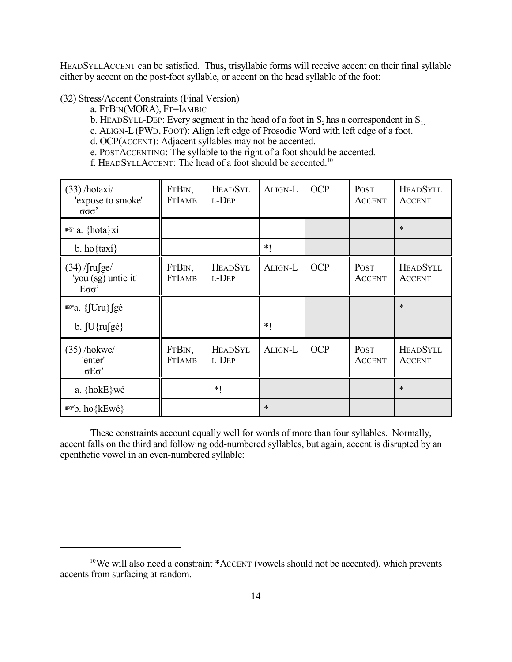HEADSYLLACCENT can be satisfied. Thus, trisyllabic forms will receive accent on their final syllable either by accent on the post-foot syllable, or accent on the head syllable of the foot:

(32) Stress/Accent Constraints (Final Version)

a. FTBIN(MORA), FT=IAMBIC

b. HEADSYLL-DEP: Every segment in the head of a foot in  $S_2$  has a correspondent in  $S_1$ 

c. ALIGN-L(PWD, FOOT): Align left edge of Prosodic Word with left edge of a foot.

d. OCP(ACCENT): Adjacent syllables may not be accented.

e. POSTACCENTING: The syllable to the right of a foot should be accented.

f. HEADSYLLACCENT: The head of a foot should be accented.<sup>10</sup>

| $(33)$ /hotaxi/<br>'expose to smoke'<br>$\sigma\sigma\sigma'$ | FTBIN,<br><b>FTIAMB</b> | <b>HEADSYL</b><br>L-DEP | ALIGN-L | $\overline{OCP}$ | POST<br><b>ACCENT</b> | <b>HEADSYLL</b><br><b>ACCENT</b> |
|---------------------------------------------------------------|-------------------------|-------------------------|---------|------------------|-----------------------|----------------------------------|
| $\mathbb{R}$ a. {hota}xí                                      |                         |                         |         |                  |                       | $\ast$                           |
| b. ho $\{taxi\}$                                              |                         |                         | $*!$    |                  |                       |                                  |
| $(34)$ /frufge/<br>'you (sg) untie it'<br>$E\sigma\sigma'$    | FTBIN,<br><b>FTIAMB</b> | <b>HEADSYL</b><br>L-DEP | ALIGN-L | I OCP            | POST<br><b>ACCENT</b> | <b>HEADSYLL</b><br><b>ACCENT</b> |
| $\mathbb{F}_a$ . {[Uru} [gé                                   |                         |                         |         |                  |                       | $\ast$                           |
| b. $\int U\{ru\}$ gé}                                         |                         |                         | $*1$    |                  |                       |                                  |
| $(35)$ /hokwe/<br>'enter'<br>$\sigma E \sigma'$               | FTBIN,<br><b>FTIAMB</b> | <b>HEADSYL</b><br>L-DEP | ALIGN-L | $\overline{OCP}$ | POST<br><b>ACCENT</b> | <b>HEADSYLL</b><br><b>ACCENT</b> |
| a. {hokE}wé                                                   |                         | $*1$                    |         |                  |                       | *                                |
| $\mathbb{F}$ b. ho $\{kEw\acute{e}\}\}\$                      |                         |                         | $\ast$  |                  |                       |                                  |

These constraints account equally well for words of more than four syllables. Normally, accent falls on the third and following odd-numbered syllables, but again, accent is disrupted by an epenthetic vowel in an even-numbered syllable:

 $10$  We will also need a constraint \*ACCENT (vowels should not be accented), which prevents accents from surfacing at random.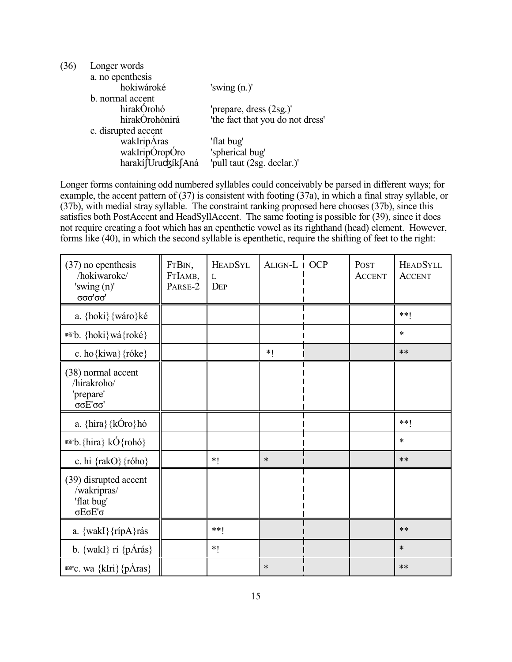| (36 | Longer words         |                                  |
|-----|----------------------|----------------------------------|
|     | a. no epenthesis     |                                  |
|     | hokiwároké           | 'swing $(n.)'$                   |
|     | b. normal accent     |                                  |
|     | hirakÓrohó           | 'prepare, dress (2sg.)'          |
|     | hirakÓrohónirá       | 'the fact that you do not dress' |
|     | c. disrupted accent  |                                  |
|     | wakIripÁras          | 'flat bug'                       |
|     | wakIripÓropÓro       | 'spherical bug'                  |
|     | harakí [Urudzík [Aná | 'pull taut (2sg. declar.)'       |
|     |                      |                                  |

Longer forms containing odd numbered syllables could conceivably be parsed in different ways; for example, the accent pattern of (37) is consistent with footing (37a), in which a final stray syllable, or (37b), with medial stray syllable. The constraint ranking proposed here chooses (37b), since this satisfies both PostAccent and HeadSyllAccent. The same footing is possible for (39), since it does not require creating a foot which has an epenthetic vowel as its righthand (head) element. However, forms like (40), in which the second syllable is epenthetic, require the shifting of feet to the right:

| $(37)$ no epenthesis<br>/hokiwaroke/<br>'swing $(n)$ '<br>σσσ'σσ' | FTBIN,<br>FTIAMB,<br>PARSE-2 | <b>HEADSYL</b><br>$\mathbf{L}$<br><b>DEP</b> | ALIGN-L   OCP | POST<br><b>ACCENT</b> | <b>HEADSYLL</b><br><b>ACCENT</b> |
|-------------------------------------------------------------------|------------------------------|----------------------------------------------|---------------|-----------------------|----------------------------------|
| a. {hoki} {wáro}ké                                                |                              |                                              |               |                       | $**1$                            |
| <b>B</b> . {hoki} wá {roké}                                       |                              |                                              |               |                       | $\ast$                           |
| c. ho {kiwa} {róke}                                               |                              |                                              | $*!$          |                       | $***$                            |
| (38) normal accent<br>/hirakroho/<br>'prepare'<br>σσΕ'σσ'         |                              |                                              |               |                       |                                  |
| a. $\{hira\} \{kOro\}$ hó                                         |                              |                                              |               |                       | $***$                            |
| $\mathbb{F}\backslash \{\text{hira}\}\ \text{kO}\{\text{roho}\}\$ |                              |                                              |               |                       | *                                |
| c. hi $\{rakO\} \{róho\}$                                         |                              | $*1$                                         | $\ast$        |                       | $***$                            |
| (39) disrupted accent<br>/wakripras/<br>'flat bug'<br>σΕσΕ'σ      |                              |                                              |               |                       |                                  |
| a. {wakI} {rípA}rás                                               |                              | $***$                                        |               |                       | $**$                             |
| b. $\{wakI\}$ rí $\{p\text{Arás}\}\$                              |                              | $*!$                                         |               |                       | $\ast$                           |
| $I^{\text{c}}$ c. wa {kIri} {p $\text{Aras}$ }                    |                              |                                              | $\ast$        |                       | $**$                             |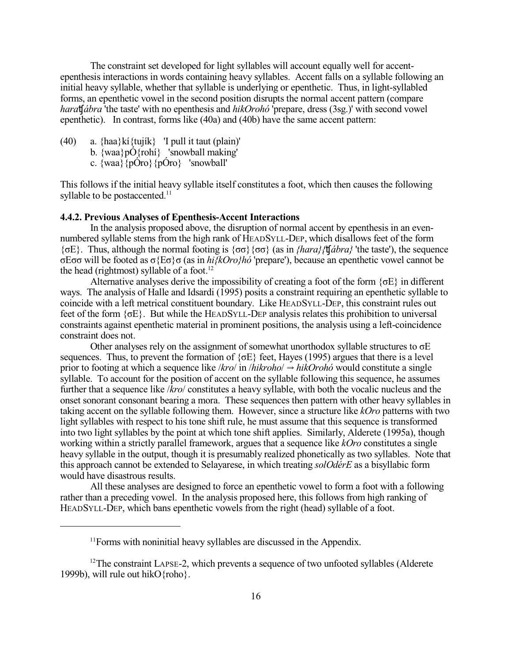The constraint set developed for light syllables will account equally well for accentepenthesis interactions in words containing heavy syllables. Accent falls on a syllable following an initial heavy syllable, whether that syllable is underlying or epenthetic. Thus, in light-syllabled forms, an epenthetic vowel in the second position disrupts the normal accent pattern (compare *hara±ábra* 'the taste' with no epenthesis and *hikOrohó* 'prepare, dress (3sg.)' with second vowel epenthetic). In contrast, forms like (40a) and (40b) have the same accent pattern:

(40) a. {haa}kí{tujík} 'I pull it taut (plain)'

b. {waa}pÓ{rohí} 'snowball making'

c.  $\{\text{waa}\}\{\text{pOro}\}\{\text{pOro}\}\$  'snowball'

This follows if the initial heavy syllable itself constitutes a foot, which then causes the following syllable to be postaccented.<sup>11</sup>

# **4.4.2. Previous Analyses of Epenthesis-Accent Interactions**

In the analysis proposed above, the disruption of normal accent by epenthesis in an evennumbered syllable stems from the high rank of HEADSYLL-DEP, which disallows feet of the form  ${\sigma}$ . Thus, although the normal footing is  ${\sigma}$  { ${\sigma}$ } (as in *{hara}{* ${\sigma}$ *{dbra}* 'the taste'), the sequence óEóó will be footed as ó{Eó}ó (as in *hi{kOro}hó* 'prepare'), because an epenthetic vowel cannot be the head (rightmost) syllable of a foot.<sup>12</sup>

Alternative analyses derive the impossibility of creating a foot of the form  $\{\sigma E\}$  in different ways. The analysis of Halle and Idsardi (1995) posits a constraint requiring an epenthetic syllable to coincide with a left metrical constituent boundary. Like HEADSYLL-DEP, this constraint rules out feet of the form {óE}. But while the HEADSYLL-DEP analysis relates this prohibition to universal constraints against epenthetic material in prominent positions, the analysis using a left-coincidence constraint does not.

Other analyses rely on the assignment of somewhat unorthodox syllable structures to  $\sigma E$ sequences. Thus, to prevent the formation of  $\{\sigma E\}$  feet, Hayes (1995) argues that there is a level prior to footing at which a sequence like */kro/* in */hikroho/*  $\rightarrow$  *hikOrohó* would constitute a single syllable. To account for the position of accent on the syllable following this sequence, he assumes further that a sequence like /*kro*/ constitutes a heavy syllable, with both the vocalic nucleus and the onset sonorant consonant bearing a mora. These sequences then pattern with other heavy syllables in taking accent on the syllable following them. However, since a structure like *kOro* patterns with two light syllables with respect to his tone shift rule, he must assume that this sequence is transformed into two light syllables by the point at which tone shift applies. Similarly, Alderete (1995a), though working within a strictly parallel framework, argues that a sequence like *kOro* constitutes a single heavy syllable in the output, though it is presumably realized phonetically as two syllables. Note that this approach cannot be extended to Selayarese, in which treating *solOdérE* as a bisyllabic form would have disastrous results.

All these analyses are designed to force an epenthetic vowel to form a foot with a following rather than a preceding vowel. In the analysis proposed here, this follows from high ranking of HEADSYLL-DEP, which bans epenthetic vowels from the right (head) syllable of a foot.

<sup>&</sup>lt;sup>11</sup> Forms with noninitial heavy syllables are discussed in the Appendix.

 $12$ The constraint LAPSE-2, which prevents a sequence of two unfooted syllables (Alderete 1999b), will rule out hikO{roho}.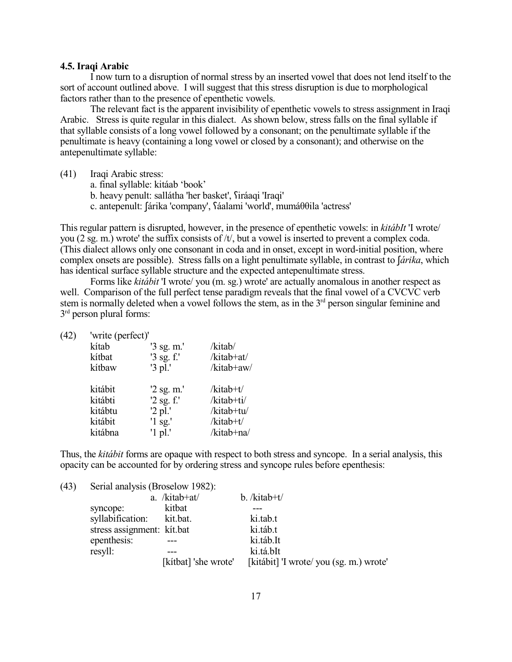# **4.5. Iraqi Arabic**

I now turn to a disruption of normal stress by an inserted vowel that does not lend itself to the sort of account outlined above. I will suggest that this stress disruption is due to morphological factors rather than to the presence of epenthetic vowels.

The relevant fact is the apparent invisibility of epenthetic vowels to stress assignment in Iraqi Arabic. Stress is quite regular in this dialect. As shown below, stress falls on the final syllable if that syllable consists of a long vowel followed by a consonant; on the penultimate syllable if the penultimate is heavy (containing a long vowel or closed by a consonant); and otherwise on the antepenultimate syllable:

- (41) Iraqi Arabic stress:
	- a. final syllable: kitáab 'book'
	- b. heavy penult: sallátha 'her basket', firáaqi 'Iraqi'
	- c. antepenult: [árika 'company', Sáalami 'world', mumáθθila 'actress'

This regular pattern is disrupted, however, in the presence of epenthetic vowels: in *kitábIt* 'I wrote/ you (2 sg. m.) wrote' the suffix consists of /t/, but a vowel is inserted to prevent a complex coda. (This dialect allows only one consonant in coda and in onset, except in word-initial position, where complex onsets are possible). Stress falls on a light penultimate syllable, in contrast to *árika*, which has identical surface syllable structure and the expected antepenultimate stress.

Forms like *kitábit* 'I wrote/ you (m. sg.) wrote' are actually anomalous in another respect as well. Comparison of the full perfect tense paradigm reveals that the final vowel of a CVCVC verb stem is normally deleted when a vowel follows the stem, as in the  $3<sup>rd</sup>$  person singular feminine and 3<sup>rd</sup> person plural forms:

| (42) | 'write (perfect)' |
|------|-------------------|
|      |                   |

| kítab<br>kítbat<br>kítbaw | '3 sg. m.'<br>'3 sg. f.'<br>'3 pl.' | /kitab/<br>/kitab+at/<br>/kitab+aw/ |
|---------------------------|-------------------------------------|-------------------------------------|
| kitábit                   | $'2$ sg. m.'                        | $/$ kitab+t $/$                     |
| kitábti                   | '2 sg. f.'                          | /kitab+ti/                          |
| kitábtu                   | $'2$ pl. $'$                        | /kitab+tu/                          |
| kitábit                   | ' $1$ sg.'                          | /kitab+t/                           |
| kitábna                   | 'l pl. $'$                          | /kitab+na/                          |

Thus, the *kitábit* forms are opaque with respect to both stress and syncope. In a serial analysis, this opacity can be accounted for by ordering stress and syncope rules before epenthesis:

| (43) | Serial analysis (Broselow 1982): |                       |                                         |
|------|----------------------------------|-----------------------|-----------------------------------------|
|      |                                  | a. / $k$ itab $+at$ / | $b.$ /kitab+t/                          |
|      | syncope:                         | kitbat                |                                         |
|      | syllabification:                 | kit.bat.              | ki.tab.t                                |
|      | stress assignment: kit.bat       |                       | ki.táb.t                                |
|      | epenthesis:                      |                       | ki.táb.It                               |
|      | resyll:                          |                       | ki.tá.bIt                               |
|      |                                  | [kítbat] 'she wrote'  | [kitábit] 'I wrote/ you (sg. m.) wrote' |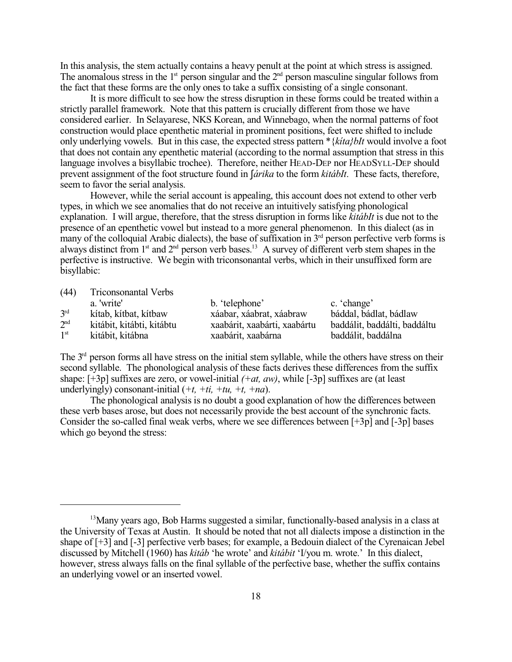In this analysis, the stem actually contains a heavy penult at the point at which stress is assigned. The anomalous stress in the  $1<sup>st</sup>$  person singular and the  $2<sup>nd</sup>$  person masculine singular follows from the fact that these forms are the only ones to take a suffix consisting of a single consonant.

It is more difficult to see how the stress disruption in these forms could be treated within a strictly parallel framework. Note that this pattern is crucially different from those we have considered earlier. In Selayarese, NKS Korean, and Winnebago, when the normal patterns of foot construction would place epenthetic material in prominent positions, feet were shifted to include only underlying vowels. But in this case, the expected stress pattern \*{*kíta}bIt* would involve a foot that does not contain any epenthetic material (according to the normal assumption that stress in this language involves a bisyllabic trochee). Therefore, neither HEAD-DEP nor HEADSYLL-DEP should prevent assignment of the foot structure found in *árika* to the form *kitábIt*. These facts, therefore, seem to favor the serial analysis.

However, while the serial account is appealing, this account does not extend to other verb types, in which we see anomalies that do not receive an intuitively satisfying phonological explanation. I will argue, therefore, that the stress disruption in forms like *kitábIt* is due not to the presence of an epenthetic vowel but instead to a more general phenomenon. In this dialect (as in many of the colloquial Arabic dialects), the base of suffixation in  $3<sup>rd</sup>$  person perfective verb forms is always distinct from  $1<sup>st</sup>$  and  $2<sup>nd</sup>$  person verb bases.<sup>13</sup> A survey of different verb stem shapes in the perfective is instructive. We begin with triconsonantal verbs, which in their unsuffixed form are bisyllabic:

| (44)            | <b>Triconsonantal Verbs</b> |                              |                              |
|-----------------|-----------------------------|------------------------------|------------------------------|
|                 | a. 'write'                  | b. 'telephone'               | c. 'change'                  |
| 3 <sup>rd</sup> | kítab, kítbat, kítbaw       | xáabar, xáabrat, xáabraw     | báddal, bádlat, bádlaw       |
| 2 <sup>nd</sup> | kitábit, kitábti, kitábtu   | xaabárit, xaabárti, xaabártu | baddálit, baddálti, baddáltu |
| 1 <sup>st</sup> | kitábit, kitábna            | xaabárit, xaabárna           | baddálit, baddálna           |

The  $3<sup>rd</sup>$  person forms all have stress on the initial stem syllable, while the others have stress on their second syllable. The phonological analysis of these facts derives these differences from the suffix shape: [+3p] suffixes are zero, or vowel-initial *(+at, aw)*, while [-3p] suffixes are (at least underlyingly) consonant-initial (*+t, +ti, +tu, +t, +na*).

The phonological analysis is no doubt a good explanation of how the differences between these verb bases arose, but does not necessarily provide the best account of the synchronic facts. Consider the so-called final weak verbs, where we see differences between [+3p] and [-3p] bases which go beyond the stress:

<sup>&</sup>lt;sup>13</sup> Many years ago, Bob Harms suggested a similar, functionally-based analysis in a class at the University of Texas at Austin. It should be noted that not all dialects impose a distinction in the shape of [+3] and [-3] perfective verb bases; for example, a Bedouin dialect of the Cyrenaican Jebel discussed by Mitchell (1960) has *kitáb* 'he wrote' and *kitábit* 'I/you m. wrote.' In this dialect, however, stress always falls on the final syllable of the perfective base, whether the suffix contains an underlying vowel or an inserted vowel.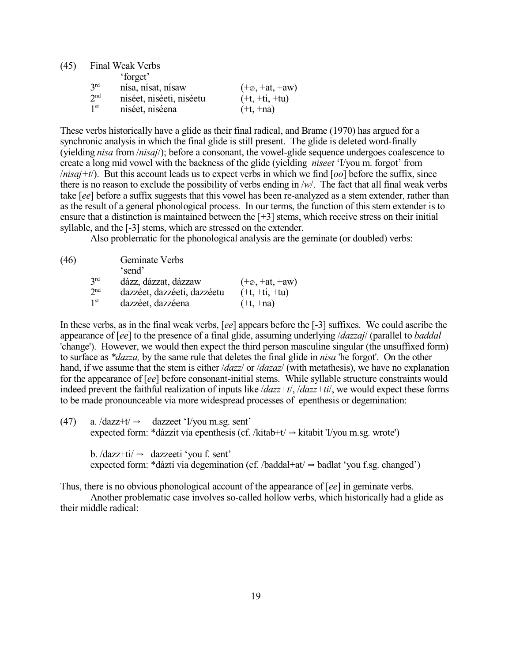| (45) |                 | Final Weak Verbs         |                       |
|------|-----------------|--------------------------|-----------------------|
|      |                 | 'forget'                 |                       |
|      | 2 <sup>rd</sup> | nísa, nísat, nísaw       | $(+\infty, +at, +aw)$ |
|      | 2 <sub>nd</sub> | niséet, niséeti, niséetu | $(+t, +ti, +tu)$      |
|      | 1st             | niséet, niséena          | $(+t, +na)$           |

These verbs historically have a glide as their final radical, and Brame (1970) has argued for a synchronic analysis in which the final glide is still present. The glide is deleted word-finally (yielding *nisa* from /*nisaj*/); before a consonant, the vowel-glide sequence undergoes coalescence to create a long mid vowel with the backness of the glide (yielding *niseet* 'I/you m. forgot' from /*nisaj+t*/). But this account leads us to expect verbs in which we find [*oo*] before the suffix, since there is no reason to exclude the possibility of verbs ending in /*w*/. The fact that all final weak verbs take [*ee*] before a suffix suggests that this vowel has been re-analyzed as a stem extender, rather than as the result of a general phonological process. In our terms, the function of this stem extender is to ensure that a distinction is maintained between the [+3] stems, which receive stress on their initial syllable, and the [-3] stems, which are stressed on the extender.

Also problematic for the phonological analysis are the geminate (or doubled) verbs:

| (46) |                 | Geminate Verbs              |                       |
|------|-----------------|-----------------------------|-----------------------|
|      |                 | 'send'                      |                       |
|      | 2rd             | dázz, dázzat, dázzaw        | $(+\infty, +at, +aw)$ |
|      | 2 <sub>nd</sub> | dazzéet, dazzéeti, dazzéetu | $(+t, +ti, +tu)$      |
|      | 1 st            | dazzéet, dazzéena           | $(+t, +na)$           |

In these verbs, as in the final weak verbs, [*ee*] appears before the [-3] suffixes. We could ascribe the appearance of [*ee*] to the presence of a final glide, assuming underlying /*dazzaj*/ (parallel to *baddal* 'change'). However, we would then expect the third person masculine singular (the unsuffixed form) to surface as *\*dazza,* by the same rule that deletes the final glide in *nisa* 'he forgot'. On the other hand, if we assume that the stem is either /*dazz*/ or /*dazaz*/ (with metathesis), we have no explanation for the appearance of [*ee*] before consonant-initial stems. While syllable structure constraints would indeed prevent the faithful realization of inputs like /*dazz+t*/, /*dazz+ti*/, we would expect these forms to be made pronounceable via more widespread processes of epenthesis or degemination:

(47) a.  $\text{dazz+t/} \Rightarrow$  dazzeet 'I/you m.sg. sent' expected form: \*dázzit via epenthesis (cf. /kitab+t/  $\Rightarrow$  kitabit 'I/you m.sg. wrote')

b.  $\frac{dazz+ti}{\Rightarrow}$  dazzeeti 'you f. sent' expected form: \*dázti via degemination (cf. /baddal+at/  $\Rightarrow$  badlat 'you f.sg. changed')

Thus, there is no obvious phonological account of the appearance of [*ee*] in geminate verbs.

Another problematic case involves so-called hollow verbs, which historically had a glide as their middle radical: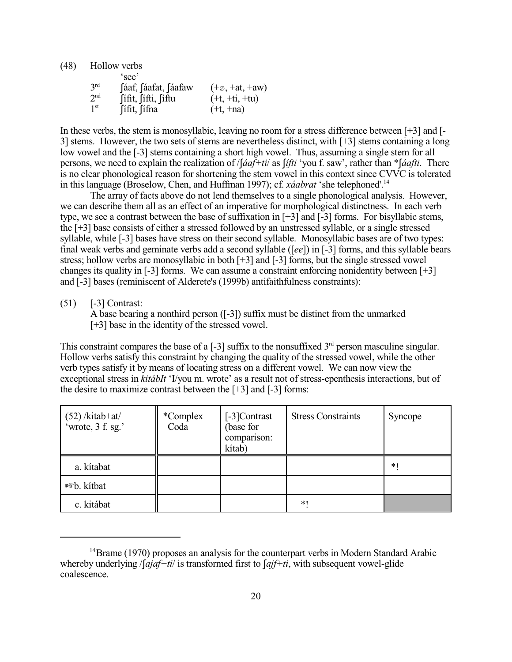| (48) | Hollow verbs |
|------|--------------|
|------|--------------|

|                 | 'see'                |                       |
|-----------------|----------------------|-----------------------|
| 3 <sup>rd</sup> | [áaf, [áafat, [áafaw | $(+\infty, +at, +aw)$ |
| $2^{\text{nd}}$ | ∫ífit, ∫ífti, ∫íftu  | $(+t, +ti, +tu)$      |
| 1 <sup>st</sup> | fífit, fífna         | $(+t, +na)$           |

In these verbs, the stem is monosyllabic, leaving no room for a stress difference between [+3] and [- 3] stems. However, the two sets of stems are nevertheless distinct, with [+3] stems containing a long low vowel and the [-3] stems containing a short high vowel. Thus, assuming a single stem for all persons, we need to explain the realization of /*áaf+ti*/ as *ífti* 'you f. saw', rather than \**áafti*. There is no clear phonological reason for shortening the stem vowel in this context since CVVC is tolerated in this language (Broselow, Chen, and Huffman 1997); cf. *xáabrat* 'she telephoned'. 14

The array of facts above do not lend themselves to a single phonological analysis. However, we can describe them all as an effect of an imperative for morphological distinctness. In each verb type, we see a contrast between the base of suffixation in [+3] and [-3] forms. For bisyllabic stems, the [+3] base consists of either a stressed followed by an unstressed syllable, or a single stressed syllable, while [-3] bases have stress on their second syllable. Monosyllabic bases are of two types: final weak verbs and geminate verbs add a second syllable ([*ee*]) in [-3] forms, and this syllable bears stress; hollow verbs are monosyllabic in both [+3] and [-3] forms, but the single stressed vowel changes its quality in [-3] forms. We can assume a constraint enforcing nonidentity between [+3] and [-3] bases (reminiscent of Alderete's (1999b) antifaithfulness constraints):

(51) [-3] Contrast:

A base bearing a nonthird person ([-3]) suffix must be distinct from the unmarked [+3] base in the identity of the stressed vowel.

This constraint compares the base of a  $[-3]$  suffix to the nonsuffixed  $3<sup>rd</sup>$  person masculine singular. Hollow verbs satisfy this constraint by changing the quality of the stressed vowel, while the other verb types satisfy it by means of locating stress on a different vowel. We can now view the exceptional stress in *kitábIt* 'I/you m. wrote' as a result not of stress-epenthesis interactions, but of the desire to maximize contrast between the [+3] and [-3] forms:

| $(52)$ /kitab+at/<br>'wrote, 3 f. sg.' | *Complex<br>Coda | $[-3]$ Contrast<br>(base for<br>comparison:<br>kítab) | <b>Stress Constraints</b> | Syncope |
|----------------------------------------|------------------|-------------------------------------------------------|---------------------------|---------|
| a. kítabat                             |                  |                                                       |                           | *1      |
| <b>s</b> b. kitbat                     |                  |                                                       |                           |         |
| c. kitábat                             |                  |                                                       | $\ast$                    |         |

 $14$ Brame (1970) proposes an analysis for the counterpart verbs in Modern Standard Arabic whereby underlying */ajaf+ti/* is transformed first to *fajf+ti*, with subsequent vowel-glide coalescence.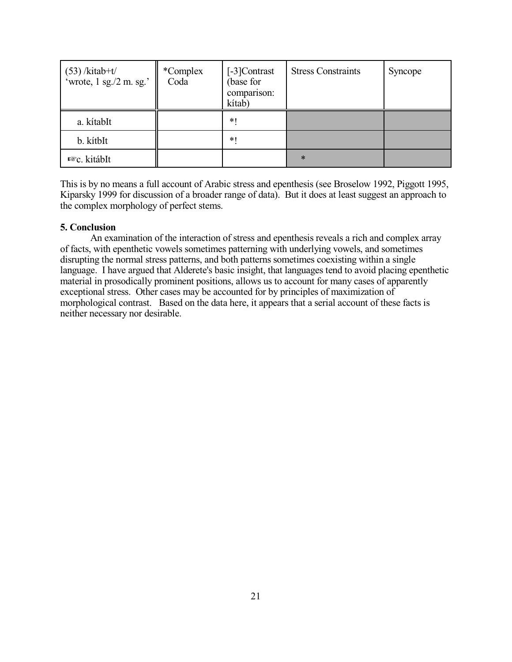| $(53)$ /kitab+t/<br>'wrote, 1 sg./2 m. sg.' | *Complex<br>Coda | [-3]Contrast<br>(base for<br>comparison:<br>kítab) | <b>Stress Constraints</b> | Syncope |
|---------------------------------------------|------------------|----------------------------------------------------|---------------------------|---------|
| a. kítabIt                                  |                  | *1                                                 |                           |         |
| b. kítbIt                                   |                  | $*$ (                                              |                           |         |
| <sup>¤</sup> c. kitábIt                     |                  |                                                    | $\ast$                    |         |

This is by no means a full account of Arabic stress and epenthesis (see Broselow 1992, Piggott 1995, Kiparsky 1999 for discussion of a broader range of data). But it does at least suggest an approach to the complex morphology of perfect stems.

# **5. Conclusion**

An examination of the interaction of stress and epenthesis reveals a rich and complex array of facts, with epenthetic vowels sometimes patterning with underlying vowels, and sometimes disrupting the normal stress patterns, and both patterns sometimes coexisting within a single language. I have argued that Alderete's basic insight, that languages tend to avoid placing epenthetic material in prosodically prominent positions, allows us to account for many cases of apparently exceptional stress. Other cases may be accounted for by principles of maximization of morphological contrast. Based on the data here, it appears that a serial account of these facts is neither necessary nor desirable.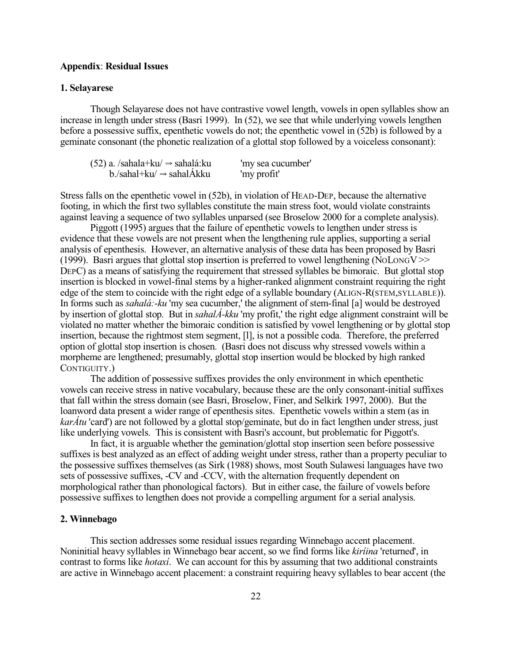### **Appendix**: **Residual Issues**

### **1. Selayarese**

Though Selayarese does not have contrastive vowel length, vowels in open syllables show an increase in length under stress (Basri 1999). In (52), we see that while underlying vowels lengthen before a possessive suffix, epenthetic vowels do not; the epenthetic vowel in (52b) is followed by a geminate consonant (the phonetic realization of a glottal stop followed by a voiceless consonant):

| (52) a. /sahala+ku/ ⇒ sahalá:ku             | 'my sea cucumber' |
|---------------------------------------------|-------------------|
| $b$ ./sahal+ku/ $\Rightarrow$ sahal $A$ kku | 'my profit'       |

Stress falls on the epenthetic vowel in (52b), in violation of HEAD-DEP, because the alternative footing, in which the first two syllables constitute the main stress foot, would violate constraints against leaving a sequence of two syllables unparsed (see Broselow 2000 for a complete analysis).

Piggott (1995) argues that the failure of epenthetic vowels to lengthen under stress is evidence that these vowels are not present when the lengthening rule applies, supporting a serial analysis of epenthesis. However, an alternative analysis of these data has been proposed by Basri (1999). Basri argues that glottal stop insertion is preferred to vowel lengthening ( $N_{\rm O}$ LONGV  $>>$ DEPC) as a means of satisfying the requirement that stressed syllables be bimoraic. But glottal stop insertion is blocked in vowel-final stems by a higher-ranked alignment constraint requiring the right edge of the stem to coincide with the right edge of a syllable boundary (ALIGN-R(STEM,SYLLABLE)). In forms such as *sahalá:-ku* 'my sea cucumber,' the alignment of stem-final [a] would be destroyed by insertion of glottal stop. But in *sahalÁ-kku* 'my profit,' the right edge alignment constraint will be violated no matter whether the bimoraic condition is satisfied by vowel lengthening or by glottal stop insertion, because the rightmost stem segment, [l], is not a possible coda. Therefore, the preferred option of glottal stop insertion is chosen. (Basri does not discuss why stressed vowels within a morpheme are lengthened; presumably, glottal stop insertion would be blocked by high ranked CONTIGUITY.)

The addition of possessive suffixes provides the only environment in which epenthetic vowels can receive stress in native vocabulary, because these are the only consonant-initial suffixes that fall within the stress domain (see Basri, Broselow, Finer, and Selkirk 1997, 2000). But the loanword data present a wider range of epenthesis sites. Epenthetic vowels within a stem (as in *karÁtu* 'card') are not followed by a glottal stop/geminate, but do in fact lengthen under stress, just like underlying vowels. This is consistent with Basri's account, but problematic for Piggott's.

In fact, it is arguable whether the gemination/glottal stop insertion seen before possessive suffixes is best analyzed as an effect of adding weight under stress, rather than a property peculiar to the possessive suffixes themselves (as Sirk (1988) shows, most South Sulawesi languages have two sets of possessive suffixes, -CV and -CCV, with the alternation frequently dependent on morphological rather than phonological factors). But in either case, the failure of vowels before possessive suffixes to lengthen does not provide a compelling argument for a serial analysis.

# **2. Winnebago**

This section addresses some residual issues regarding Winnebago accent placement. Noninitial heavy syllables in Winnebago bear accent, so we find forms like *kiríina* 'returned', in contrast to forms like *hotaxí*. We can account for this by assuming that two additional constraints are active in Winnebago accent placement: a constraint requiring heavy syllables to bear accent (the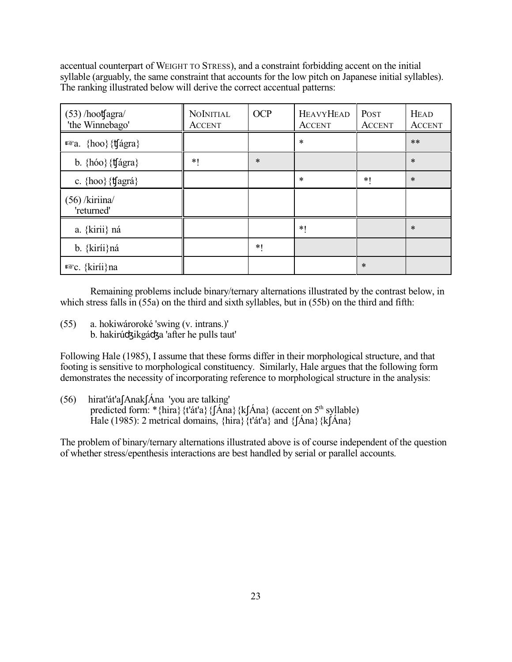accentual counterpart of WEIGHT TO STRESS), and a constraint forbidding accent on the initial syllable (arguably, the same constraint that accounts for the low pitch on Japanese initial syllables). The ranking illustrated below will derive the correct accentual patterns:

| $(53)$ /hoot $q$ agra/<br>'the Winnebago'  | <b>NOINITIAL</b><br><b>ACCENT</b> | <b>OCP</b> | <b>HEAVYHEAD</b><br><b>ACCENT</b> | POST<br><b>ACCENT</b> | <b>HEAD</b><br><b>ACCENT</b> |
|--------------------------------------------|-----------------------------------|------------|-----------------------------------|-----------------------|------------------------------|
| $\mathbb{F}$ a. {hoo} { <b>J</b> ágra}     |                                   |            | $\ast$                            |                       | $***$                        |
| b. $\{\text{h\'oo}\}\{\text{tf\'agra}\}\$  | *1                                | $\ast$     |                                   |                       | $\ast$                       |
| c. $\{ho\}$ { $\{ \text{Hagr}\hat{a} \}$ } |                                   |            | $\ast$                            | $*1$                  | $\ast$                       |
| $(56)$ /kiriina/<br>'returned'             |                                   |            |                                   |                       |                              |
| a. {kirii} ná                              |                                   |            | $*1$                              |                       | $\ast$                       |
| b. {kiríi}ná                               |                                   | $*$ (      |                                   |                       |                              |
| $E$ c. {kiríi}na                           |                                   |            |                                   | $\ast$                |                              |

Remaining problems include binary/ternary alternations illustrated by the contrast below, in which stress falls in (55a) on the third and sixth syllables, but in (55b) on the third and fifth:

(55) a. hokiwároroké 'swing (v. intrans.)' b. hakirúdzikgádza 'after he pulls taut'

Following Hale (1985), I assume that these forms differ in their morphological structure, and that footing is sensitive to morphological constituency. Similarly, Hale argues that the following form demonstrates the necessity of incorporating reference to morphological structure in the analysis:

 $(56)$  hirat'át'a[Anak[Ána 'you are talking' predicted form: \*{hira} {t'át'a} {[Ána} {kʃÁna} (accent on 5<sup>th</sup> syllable) Hale (1985): 2 metrical domains, {hira}{t'át'a} and { $\{Ana\}$ {k $\{Ana\}$ }

The problem of binary/ternary alternations illustrated above is of course independent of the question of whether stress/epenthesis interactions are best handled by serial or parallel accounts.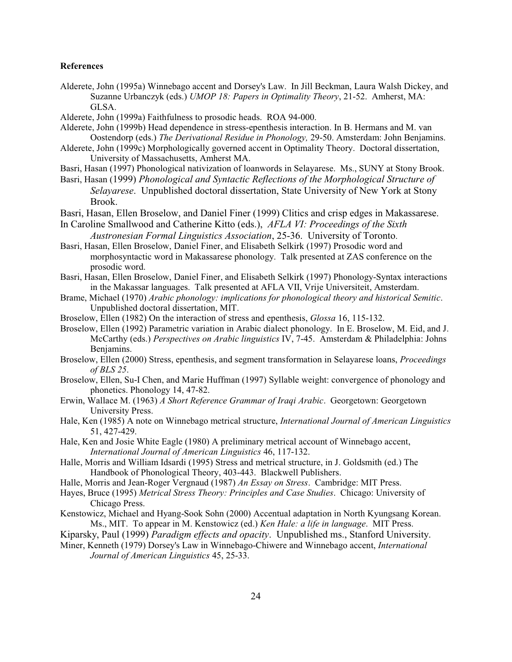#### **References**

- Alderete, John (1995a) Winnebago accent and Dorsey's Law. In Jill Beckman, Laura Walsh Dickey, and Suzanne Urbanczyk (eds.) *UMOP 18: Papers in Optimality Theory*, 21-52. Amherst, MA: GLSA.
- Alderete, John (1999a) Faithfulness to prosodic heads. ROA 94-000.
- Alderete, John (1999b) Head dependence in stress-epenthesis interaction. In B. Hermans and M. van Oostendorp (eds.) *The Derivational Residue in Phonology,* 29-50. Amsterdam: John Benjamins.
- Alderete, John (1999c) Morphologically governed accent in Optimality Theory. Doctoral dissertation, University of Massachusetts, Amherst MA.
- Basri, Hasan (1997) Phonological nativization of loanwords in Selayarese. Ms., SUNY at Stony Brook.
- Basri, Hasan (1999) *Phonological and Syntactic Reflections of the Morphological Structure of Selayarese*. Unpublished doctoral dissertation, State University of New York at Stony Brook.
- Basri, Hasan, Ellen Broselow, and Daniel Finer (1999) Clitics and crisp edges in Makassarese.
- In Caroline Smallwood and Catherine Kitto (eds.), *AFLA VI: Proceedings of the Sixth Austronesian Formal Linguistics Association*, 25-36. University of Toronto.
- Basri, Hasan, Ellen Broselow, Daniel Finer, and Elisabeth Selkirk (1997) Prosodic word and morphosyntactic word in Makassarese phonology. Talk presented at ZAS conference on the prosodic word.
- Basri, Hasan, Ellen Broselow, Daniel Finer, and Elisabeth Selkirk (1997) Phonology-Syntax interactions in the Makassar languages. Talk presented at AFLA VII, Vrije Universiteit, Amsterdam.
- Brame, Michael (1970) *Arabic phonology: implications for phonological theory and historical Semitic*. Unpublished doctoral dissertation, MIT.
- Broselow, Ellen (1982) On the interaction of stress and epenthesis, *Glossa* 16, 115-132.
- Broselow, Ellen (1992) Parametric variation in Arabic dialect phonology. In E. Broselow, M. Eid, and J. McCarthy (eds.) *Perspectives on Arabic linguistics* IV, 7-45. Amsterdam & Philadelphia: Johns Benjamins.
- Broselow, Ellen (2000) Stress, epenthesis, and segment transformation in Selayarese loans, *Proceedings of BLS 25*.
- Broselow, Ellen, Su-I Chen, and Marie Huffman (1997) Syllable weight: convergence of phonology and phonetics. Phonology 14, 47-82.
- Erwin, Wallace M. (1963) *A Short Reference Grammar of Iraqi Arabic*. Georgetown: Georgetown University Press.
- Hale, Ken (1985) A note on Winnebago metrical structure, *International Journal of American Linguistics* 51, 427-429.
- Hale, Ken and Josie White Eagle (1980) A preliminary metrical account of Winnebago accent, *International Journal of American Linguistics* 46, 117-132.
- Halle, Morris and William Idsardi (1995) Stress and metrical structure, in J. Goldsmith (ed.) The Handbook of Phonological Theory, 403-443. Blackwell Publishers.
- Halle, Morris and Jean-Roger Vergnaud (1987) *An Essay on Stress*. Cambridge: MIT Press.
- Hayes, Bruce (1995) *Metrical Stress Theory: Principles and Case Studies*. Chicago: University of Chicago Press.
- Kenstowicz, Michael and Hyang-Sook Sohn (2000) Accentual adaptation in North Kyungsang Korean. Ms., MIT. To appear in M. Kenstowicz (ed.) *Ken Hale: a life in language*. MIT Press.
- Kiparsky, Paul (1999) *Paradigm effects and opacity*. Unpublished ms., Stanford University.
- Miner, Kenneth (1979) Dorsey's Law in Winnebago-Chiwere and Winnebago accent, *International Journal of American Linguistics* 45, 25-33.